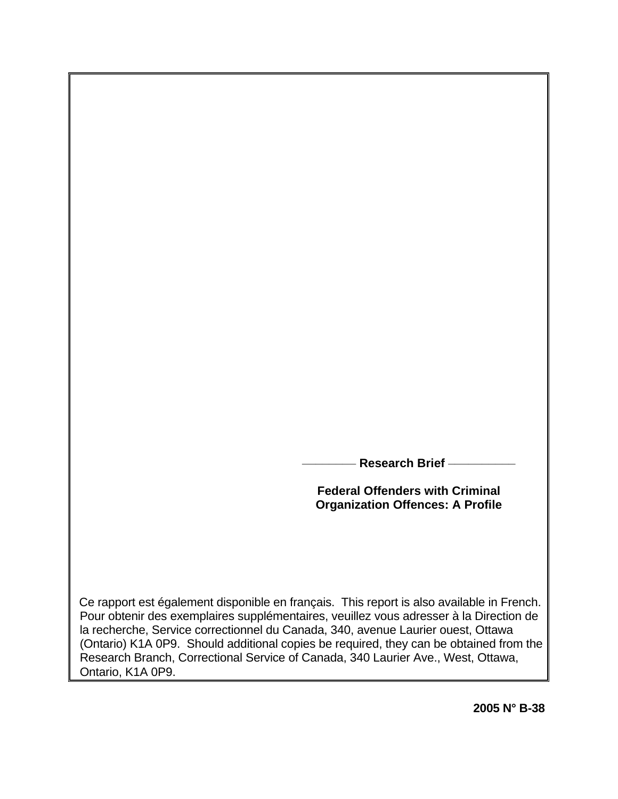**\_\_\_\_\_\_\_\_ Research Brief \_\_\_\_\_\_\_\_\_\_**

**Federal Offenders with Criminal Organization Offences: A Profile** 

 Ce rapport est également disponible en français. This report is also available in French. Pour obtenir des exemplaires supplémentaires, veuillez vous adresser à la Direction de la recherche, Service correctionnel du Canada, 340, avenue Laurier ouest, Ottawa (Ontario) K1A 0P9. Should additional copies be required, they can be obtained from the Research Branch, Correctional Service of Canada, 340 Laurier Ave., West, Ottawa, Ontario, K1A 0P9.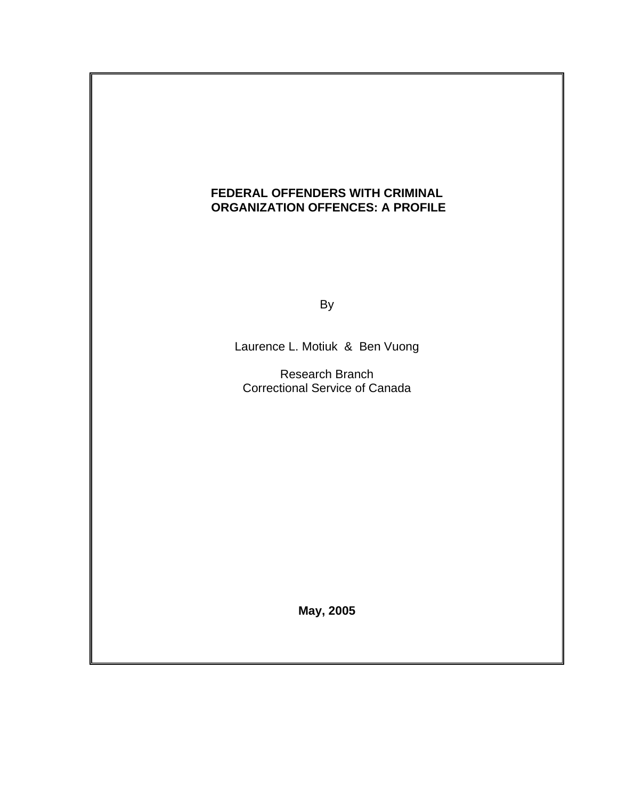# **FEDERAL OFFENDERS WITH CRIMINAL ORGANIZATION OFFENCES: A PROFILE**

and the control of the Bystem of the Bystem of the Bystem of the Bystem of the Bystem of the Bystem of the Bys

Laurence L. Motiuk & Ben Vuong

 Research Branch Correctional Service of Canada

**May, 2005**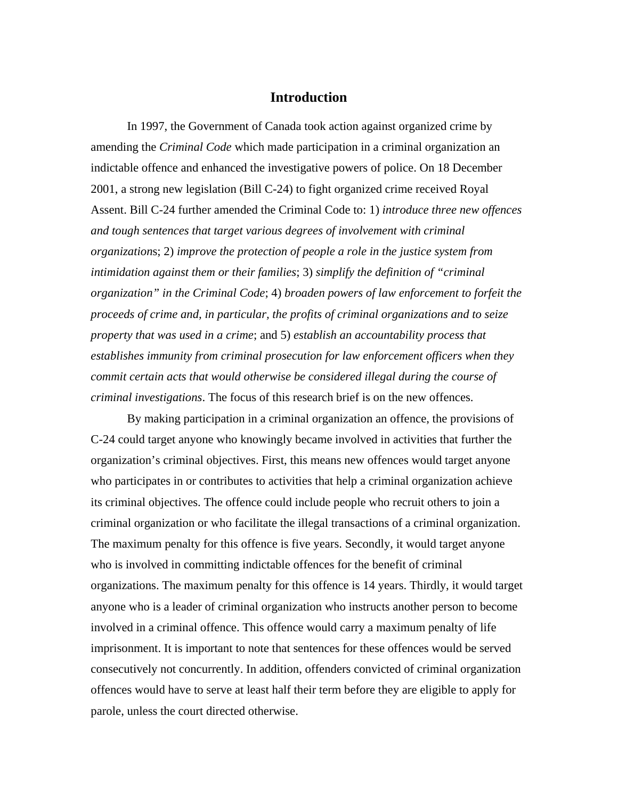## **Introduction**

In 1997, the Government of Canada took action against organized crime by amending the *Criminal Code* which made participation in a criminal organization an indictable offence and enhanced the investigative powers of police. On 18 December 2001, a strong new legislation (Bill C-24) to fight organized crime received Royal Assent. Bill C-24 further amended the Criminal Code to: 1) *introduce three new offences and tough sentences that target various degrees of involvement with criminal organization*s; 2) *improve the protection of people a role in the justice system from intimidation against them or their families*; 3) *simplify the definition of "criminal organization" in the Criminal Code*; 4) *broaden powers of law enforcement to forfeit the proceeds of crime and, in particular, the profits of criminal organizations and to seize property that was used in a crime*; and 5) *establish an accountability process that establishes immunity from criminal prosecution for law enforcement officers when they commit certain acts that would otherwise be considered illegal during the course of criminal investigations*. The focus of this research brief is on the new offences.

By making participation in a criminal organization an offence, the provisions of C-24 could target anyone who knowingly became involved in activities that further the organization's criminal objectives. First, this means new offences would target anyone who participates in or contributes to activities that help a criminal organization achieve its criminal objectives. The offence could include people who recruit others to join a criminal organization or who facilitate the illegal transactions of a criminal organization. The maximum penalty for this offence is five years. Secondly, it would target anyone who is involved in committing indictable offences for the benefit of criminal organizations. The maximum penalty for this offence is 14 years. Thirdly, it would target anyone who is a leader of criminal organization who instructs another person to become involved in a criminal offence. This offence would carry a maximum penalty of life imprisonment. It is important to note that sentences for these offences would be served consecutively not concurrently. In addition, offenders convicted of criminal organization offences would have to serve at least half their term before they are eligible to apply for parole, unless the court directed otherwise.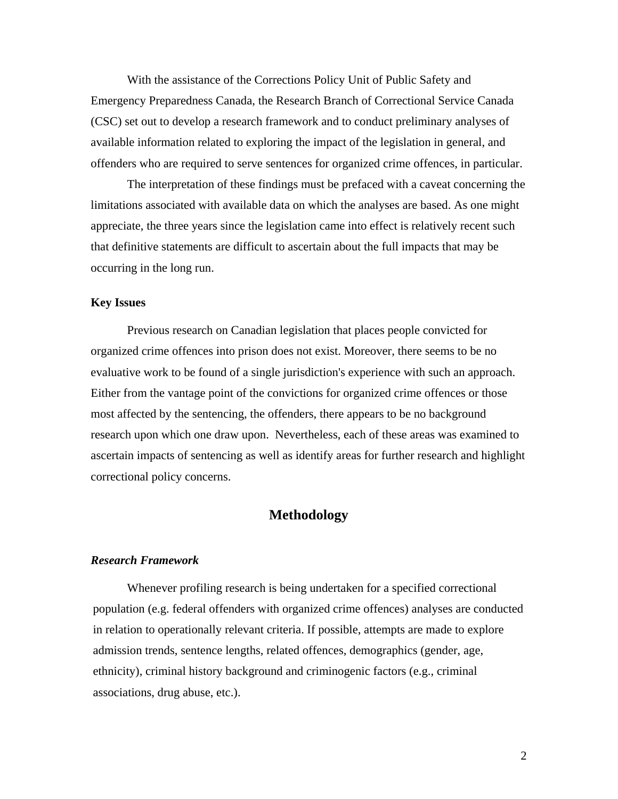With the assistance of the Corrections Policy Unit of Public Safety and Emergency Preparedness Canada, the Research Branch of Correctional Service Canada (CSC) set out to develop a research framework and to conduct preliminary analyses of available information related to exploring the impact of the legislation in general, and offenders who are required to serve sentences for organized crime offences, in particular.

The interpretation of these findings must be prefaced with a caveat concerning the limitations associated with available data on which the analyses are based. As one might appreciate, the three years since the legislation came into effect is relatively recent such that definitive statements are difficult to ascertain about the full impacts that may be occurring in the long run.

#### **Key Issues**

Previous research on Canadian legislation that places people convicted for organized crime offences into prison does not exist. Moreover, there seems to be no evaluative work to be found of a single jurisdiction's experience with such an approach. Either from the vantage point of the convictions for organized crime offences or those most affected by the sentencing, the offenders, there appears to be no background research upon which one draw upon. Nevertheless, each of these areas was examined to ascertain impacts of sentencing as well as identify areas for further research and highlight correctional policy concerns.

### **Methodology**

#### *Research Framework*

Whenever profiling research is being undertaken for a specified correctional population (e.g. federal offenders with organized crime offences) analyses are conducted in relation to operationally relevant criteria. If possible, attempts are made to explore admission trends, sentence lengths, related offences, demographics (gender, age, ethnicity), criminal history background and criminogenic factors (e.g., criminal associations, drug abuse, etc.).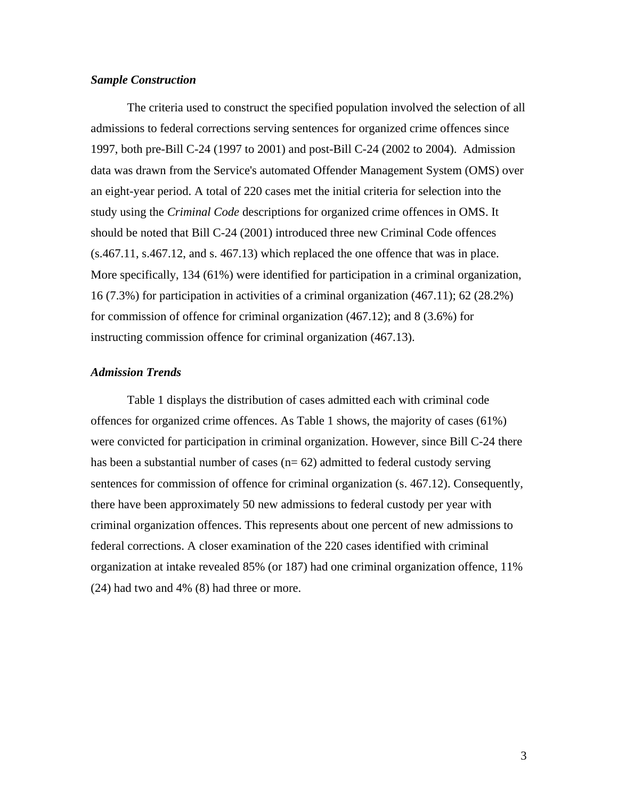### *Sample Construction*

The criteria used to construct the specified population involved the selection of all admissions to federal corrections serving sentences for organized crime offences since 1997, both pre-Bill C-24 (1997 to 2001) and post-Bill C-24 (2002 to 2004). Admission data was drawn from the Service's automated Offender Management System (OMS) over an eight-year period. A total of 220 cases met the initial criteria for selection into the study using the *Criminal Code* descriptions for organized crime offences in OMS. It should be noted that Bill C-24 (2001) introduced three new Criminal Code offences (s.467.11, s.467.12, and s. 467.13) which replaced the one offence that was in place. More specifically, 134 (61%) were identified for participation in a criminal organization, 16 (7.3%) for participation in activities of a criminal organization (467.11); 62 (28.2%) for commission of offence for criminal organization (467.12); and 8 (3.6%) for instructing commission offence for criminal organization (467.13).

### *Admission Trends*

 Table 1 displays the distribution of cases admitted each with criminal code offences for organized crime offences. As Table 1 shows, the majority of cases (61%) were convicted for participation in criminal organization. However, since Bill C-24 there has been a substantial number of cases  $(n= 62)$  admitted to federal custody serving sentences for commission of offence for criminal organization (s. 467.12). Consequently, there have been approximately 50 new admissions to federal custody per year with criminal organization offences. This represents about one percent of new admissions to federal corrections. A closer examination of the 220 cases identified with criminal organization at intake revealed 85% (or 187) had one criminal organization offence, 11% (24) had two and 4% (8) had three or more.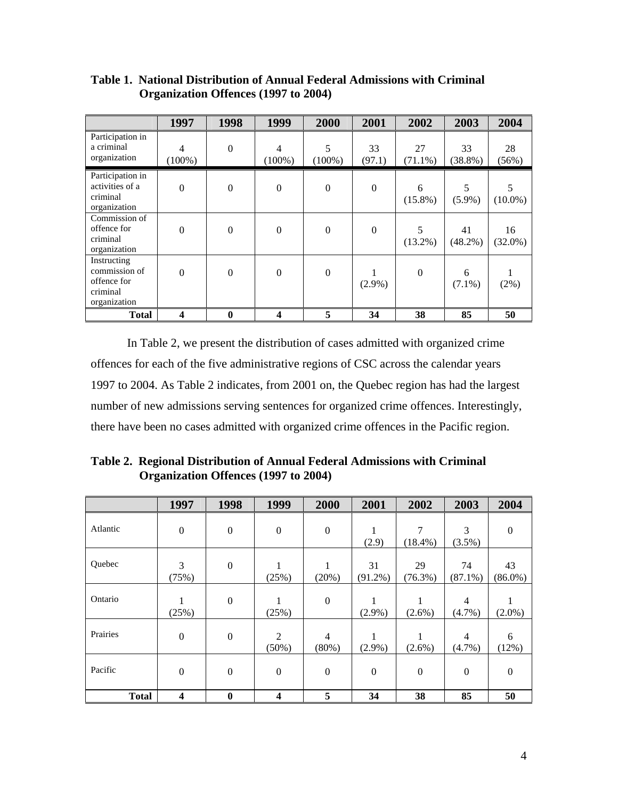|                                                                         | 1997             | 1998             | 1999             | 2000             | 2001           | 2002             | 2003             | 2004             |
|-------------------------------------------------------------------------|------------------|------------------|------------------|------------------|----------------|------------------|------------------|------------------|
| Participation in<br>a criminal<br>organization                          | 4<br>$(100\%)$   | $\boldsymbol{0}$ | 4<br>$(100\%)$   | 5<br>$(100\%)$   | 33<br>(97.1)   | 27<br>$(71.1\%)$ | 33<br>$(38.8\%)$ | 28<br>(56%)      |
| Participation in<br>activities of a<br>criminal<br>organization         | $\mathbf{0}$     | $\mathbf{0}$     | $\boldsymbol{0}$ | $\boldsymbol{0}$ | $\overline{0}$ | 6<br>$(15.8\%)$  | 5<br>$(5.9\%)$   | 5<br>$(10.0\%)$  |
| Commission of<br>offence for<br>criminal<br>organization                | $\mathbf{0}$     | $\boldsymbol{0}$ | $\boldsymbol{0}$ | $\boldsymbol{0}$ | $\mathbf{0}$   | 5<br>$(13.2\%)$  | 41<br>$(48.2\%)$ | 16<br>$(32.0\%)$ |
| Instructing<br>commission of<br>offence for<br>criminal<br>organization | $\mathbf{0}$     | $\boldsymbol{0}$ | $\boldsymbol{0}$ | $\boldsymbol{0}$ | $(2.9\%)$      | $\mathbf{0}$     | 6<br>$(7.1\%)$   | $(2\%)$          |
| <b>Total</b>                                                            | $\boldsymbol{4}$ | $\boldsymbol{0}$ | 4                | 5                | 34             | 38               | 85               | 50               |

**Table 1. National Distribution of Annual Federal Admissions with Criminal Organization Offences (1997 to 2004)** 

 In Table 2, we present the distribution of cases admitted with organized crime offences for each of the five administrative regions of CSC across the calendar years 1997 to 2004. As Table 2 indicates, from 2001 on, the Quebec region has had the largest number of new admissions serving sentences for organized crime offences. Interestingly, there have been no cases admitted with organized crime offences in the Pacific region.

**Table 2. Regional Distribution of Annual Federal Admissions with Criminal Organization Offences (1997 to 2004)** 

|              | 1997                    | 1998             | 1999                       | 2000                       | 2001             | 2002             | 2003                        | 2004             |
|--------------|-------------------------|------------------|----------------------------|----------------------------|------------------|------------------|-----------------------------|------------------|
| Atlantic     | $\boldsymbol{0}$        | $\boldsymbol{0}$ | $\boldsymbol{0}$           | $\boldsymbol{0}$           | (2.9)            | 7<br>$(18.4\%)$  | 3<br>(3.5%)                 | $\mathbf{0}$     |
| Quebec       | 3<br>(75%)              | $\boldsymbol{0}$ | 1<br>(25%)                 | 1<br>(20%)                 | 31<br>$(91.2\%)$ | 29<br>$(76.3\%)$ | 74<br>$(87.1\%)$            | 43<br>$(86.0\%)$ |
| Ontario      | (25%)                   | $\boldsymbol{0}$ | 1<br>(25%)                 | $\boldsymbol{0}$           | $(2.9\%)$        | 1<br>$(2.6\%)$   | $\overline{4}$<br>$(4.7\%)$ | 1<br>$(2.0\%)$   |
| Prairies     | $\boldsymbol{0}$        | $\boldsymbol{0}$ | $\overline{c}$<br>$(50\%)$ | $\overline{4}$<br>$(80\%)$ | 1<br>$(2.9\%)$   | $(2.6\%)$        | 4<br>$(4.7\%)$              | 6<br>(12%)       |
| Pacific      | $\boldsymbol{0}$        | $\boldsymbol{0}$ | $\boldsymbol{0}$           | $\boldsymbol{0}$           | $\boldsymbol{0}$ | $\boldsymbol{0}$ | $\boldsymbol{0}$            | $\mathbf{0}$     |
| <b>Total</b> | $\overline{\mathbf{4}}$ | $\bf{0}$         | 4                          | 5                          | 34               | 38               | 85                          | 50               |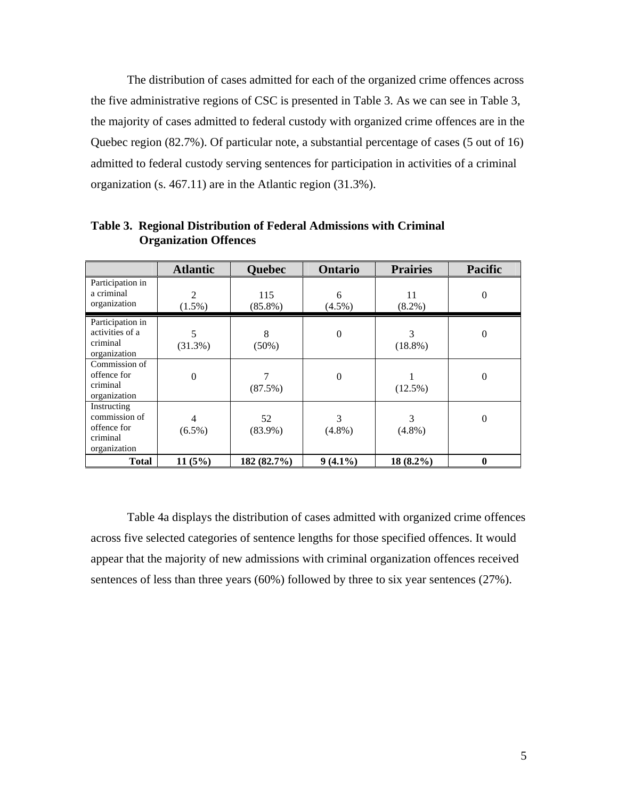The distribution of cases admitted for each of the organized crime offences across the five administrative regions of CSC is presented in Table 3. As we can see in Table 3, the majority of cases admitted to federal custody with organized crime offences are in the Quebec region (82.7%). Of particular note, a substantial percentage of cases (5 out of 16) admitted to federal custody serving sentences for participation in activities of a criminal organization (s. 467.11) are in the Atlantic region (31.3%).

|                                                                         | <b>Atlantic</b>             | <b>Quebec</b>     | Ontario          | <b>Prairies</b> | <b>Pacific</b>   |
|-------------------------------------------------------------------------|-----------------------------|-------------------|------------------|-----------------|------------------|
| Participation in<br>a criminal<br>organization                          | $\overline{2}$<br>$(1.5\%)$ | 115<br>$(85.8\%)$ | 6<br>$(4.5\%)$   | 11<br>$(8.2\%)$ | $\mathbf{0}$     |
| Participation in<br>activities of a<br>criminal<br>organization         | 5<br>$(31.3\%)$             | 8<br>$(50\%)$     | $\boldsymbol{0}$ | 3<br>$(18.8\%)$ | $\boldsymbol{0}$ |
| Commission of<br>offence for<br>criminal<br>organization                | $\boldsymbol{0}$            | 7<br>(87.5%)      | $\theta$         | $(12.5\%)$      | $\theta$         |
| Instructing<br>commission of<br>offence for<br>criminal<br>organization | 4<br>$(6.5\%)$              | 52<br>$(83.9\%)$  | 3<br>$(4.8\%)$   | 3<br>$(4.8\%)$  | $\theta$         |
| <b>Total</b>                                                            | 11(5%)                      | 182 (82.7%)       | $9(4.1\%)$       | $18(8.2\%)$     | $\bf{0}$         |

**Table 3. Regional Distribution of Federal Admissions with Criminal Organization Offences** 

 Table 4a displays the distribution of cases admitted with organized crime offences across five selected categories of sentence lengths for those specified offences. It would appear that the majority of new admissions with criminal organization offences received sentences of less than three years (60%) followed by three to six year sentences (27%).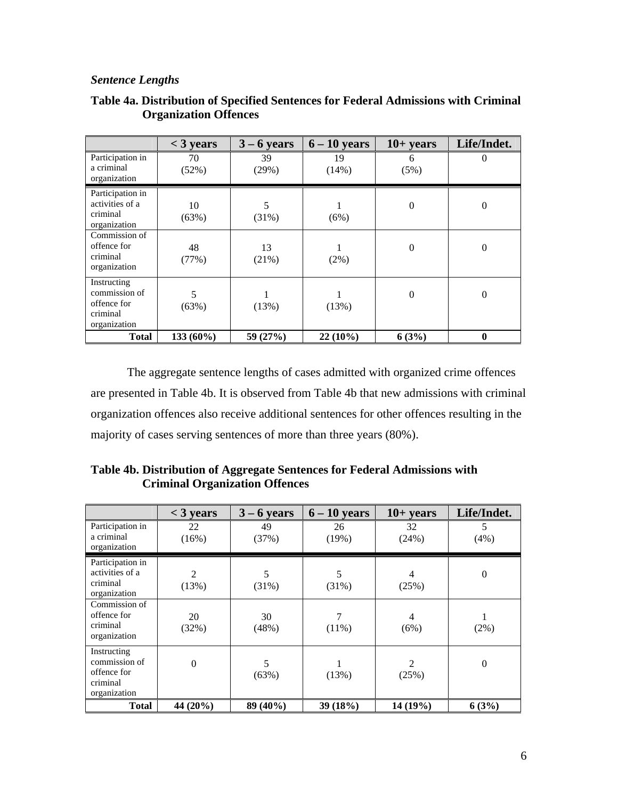### *Sentence Lengths*

|                                                                         | $<$ 3 years | $3 - 6$ years | $6 - 10$ years | $10+ years$    | Life/Indet.      |
|-------------------------------------------------------------------------|-------------|---------------|----------------|----------------|------------------|
| Participation in<br>a criminal<br>organization                          | 70<br>(52%) | 39<br>(29%)   | 19<br>(14%)    | 6<br>(5%)      | $\theta$         |
| Participation in<br>activities of a<br>criminal<br>organization         | 10<br>(63%) | (31%)         | (6%)           | $\theta$       | $\boldsymbol{0}$ |
| Commission of<br>offence for<br>criminal<br>organization                | 48<br>(77%) | 13<br>(21%)   | (2%)           | $\overline{0}$ | $\theta$         |
| Instructing<br>commission of<br>offence for<br>criminal<br>organization | 5<br>(63%)  | (13%)         | (13%)          | $\theta$       | $\boldsymbol{0}$ |
| <b>Total</b>                                                            | 133 (60%)   | 59 (27%)      | $22(10\%)$     | 6(3%)          | 0                |

## **Table 4a. Distribution of Specified Sentences for Federal Admissions with Criminal Organization Offences**

 The aggregate sentence lengths of cases admitted with organized crime offences are presented in Table 4b. It is observed from Table 4b that new admissions with criminal organization offences also receive additional sentences for other offences resulting in the majority of cases serving sentences of more than three years (80%).

|                                                                         | $<$ 3 years      | $3 - 6$ years | $6 - 10$ years | $10+ years$ | Life/Indet.      |
|-------------------------------------------------------------------------|------------------|---------------|----------------|-------------|------------------|
| Participation in<br>a criminal<br>organization                          | 22<br>(16%)      | 49<br>(37%)   | 26<br>(19%)    | 32<br>(24%) | 5<br>(4%)        |
| Participation in<br>activities of a<br>criminal<br>organization         | 2<br>(13%)       | 5<br>(31%)    | 5<br>(31%)     | 4<br>(25%)  | $\boldsymbol{0}$ |
| Commission of<br>offence for<br>criminal<br>organization                | 20<br>(32%)      | 30<br>(48%)   | $(11\%)$       | 4<br>(6%)   | $(2\%)$          |
| Instructing<br>commission of<br>offence for<br>criminal<br>organization | $\boldsymbol{0}$ | 5<br>(63%)    | (13%)          | 2<br>(25%)  | $\boldsymbol{0}$ |
| <b>Total</b>                                                            | 44 (20%)         | 89 (40%)      | 39 (18%)       | 14 (19%)    | 6(3%)            |

**Table 4b. Distribution of Aggregate Sentences for Federal Admissions with Criminal Organization Offences**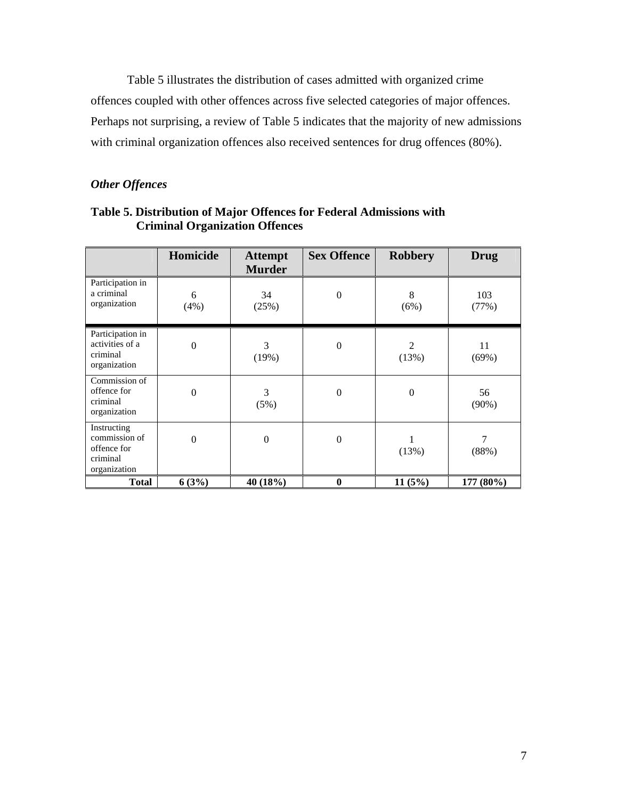Table 5 illustrates the distribution of cases admitted with organized crime offences coupled with other offences across five selected categories of major offences. Perhaps not surprising, a review of Table 5 indicates that the majority of new admissions with criminal organization offences also received sentences for drug offences (80%).

# *Other Offences*

|                                                                         | Homicide         | <b>Attempt</b><br><b>Murder</b> | <b>Sex Offence</b> | <b>Robbery</b>   | <b>Drug</b>    |
|-------------------------------------------------------------------------|------------------|---------------------------------|--------------------|------------------|----------------|
| Participation in<br>a criminal<br>organization                          | 6<br>(4%)        | 34<br>(25%)                     | $\boldsymbol{0}$   | 8<br>(6%)        | 103<br>(77%)   |
| Participation in<br>activities of a<br>criminal<br>organization         | $\boldsymbol{0}$ | 3<br>(19%)                      | $\boldsymbol{0}$   | 2<br>(13%)       | 11<br>(69%)    |
| Commission of<br>offence for<br>criminal<br>organization                | $\boldsymbol{0}$ | 3<br>(5%)                       | $\boldsymbol{0}$   | $\boldsymbol{0}$ | 56<br>$(90\%)$ |
| Instructing<br>commission of<br>offence for<br>criminal<br>organization | $\mathbf{0}$     | $\boldsymbol{0}$                | $\boldsymbol{0}$   | (13%)            | 7<br>(88%)     |
| <b>Total</b>                                                            | 6(3%)            | 40 (18%)                        | $\bf{0}$           | 11(5%)           | 177 (80%)      |

**Table 5. Distribution of Major Offences for Federal Admissions with Criminal Organization Offences**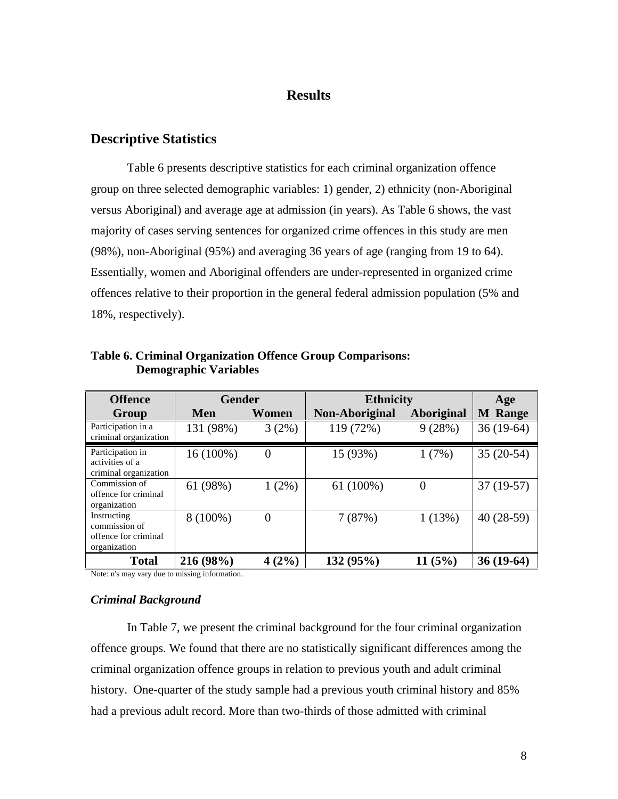# **Results**

## **Descriptive Statistics**

Table 6 presents descriptive statistics for each criminal organization offence group on three selected demographic variables: 1) gender, 2) ethnicity (non-Aboriginal versus Aboriginal) and average age at admission (in years). As Table 6 shows, the vast majority of cases serving sentences for organized crime offences in this study are men (98%), non-Aboriginal (95%) and averaging 36 years of age (ranging from 19 to 64). Essentially, women and Aboriginal offenders are under-represented in organized crime offences relative to their proportion in the general federal admission population (5% and 18%, respectively).

| <b>Offence</b>                                                       | <b>Gender</b> |          | <b>Ethnicity</b> | Age        |                |
|----------------------------------------------------------------------|---------------|----------|------------------|------------|----------------|
| Group                                                                | Men           | Women    | Non-Aboriginal   | Aboriginal | <b>M</b> Range |
| Participation in a<br>criminal organization                          | 131 (98%)     | 3(2%)    | 119 (72%)        | 9(28%)     | $36(19-64)$    |
| Participation in<br>activities of a<br>criminal organization         | 16 (100%)     | $\theta$ | 15 (93%)         | 1(7%)      | $35(20-54)$    |
| Commission of<br>offence for criminal<br>organization                | 61 (98%)      | $1(2\%)$ | $61(100\%)$      | $\theta$   | $37(19-57)$    |
| Instructing<br>commission of<br>offence for criminal<br>organization | 8 (100%)      | $\theta$ | 7(87%)           | 1(13%)     | $40(28-59)$    |
| <b>Total</b>                                                         | 216 (98%)     | 4(2%)    | 132(95%)         | 11(5%)     | $36(19-64)$    |

**Table 6. Criminal Organization Offence Group Comparisons: Demographic Variables** 

Note: n's may vary due to missing information.

### *Criminal Background*

In Table 7, we present the criminal background for the four criminal organization offence groups. We found that there are no statistically significant differences among the criminal organization offence groups in relation to previous youth and adult criminal history. One-quarter of the study sample had a previous youth criminal history and 85% had a previous adult record. More than two-thirds of those admitted with criminal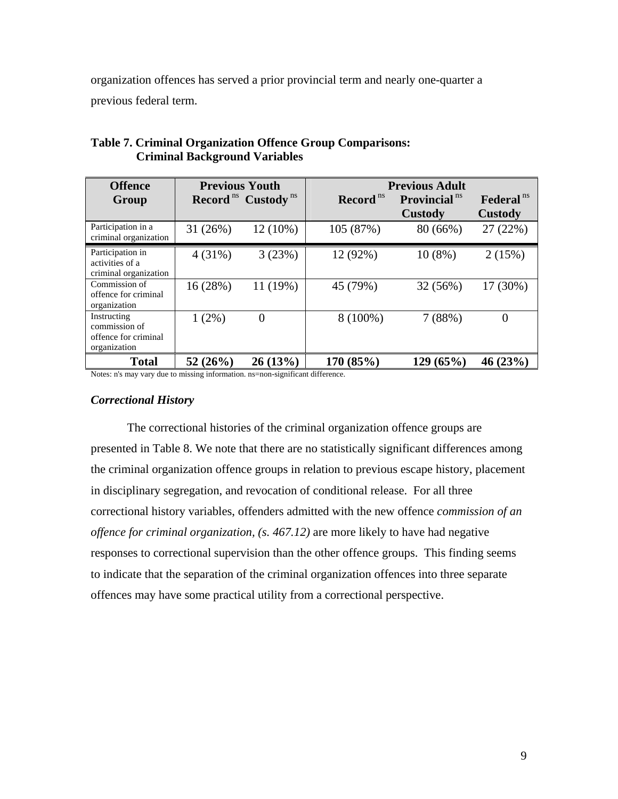organization offences has served a prior provincial term and nearly one-quarter a previous federal term.

| <b>Offence</b>                                                       | <b>Previous Youth</b> |                             | <b>Previous Adult</b> |                                 |                       |
|----------------------------------------------------------------------|-----------------------|-----------------------------|-----------------------|---------------------------------|-----------------------|
| Group                                                                |                       | <b>Record</b> ns Custody ns | Record <sup>ns</sup>  | <b>Provincial</b> <sup>ns</sup> | Federal <sup>ns</sup> |
|                                                                      |                       |                             |                       | Custody                         | <b>Custody</b>        |
| Participation in a<br>criminal organization                          | 31(26%)               | $12(10\%)$                  | 105 (87%)             | 80 (66%)                        | 27 (22%)              |
| Participation in<br>activities of a<br>criminal organization         | 4(31%)                | 3(23%)                      | 12 (92%)              | $10(8\%)$                       | 2(15%)                |
| Commission of<br>offence for criminal<br>organization                | 16 (28%)              | 11 (19%)                    | 45 (79%)              | 32 (56%)                        | 17 (30%)              |
| Instructing<br>commission of<br>offence for criminal<br>organization | $1(2\%)$              | 0                           | $8(100\%)$            | 7(88%)                          | $\overline{0}$        |
| <b>Total</b>                                                         | 52(26%)               | $26(13\%)$                  | 170 (85%)             | 129(65%)                        | 46(23%)               |

## **Table 7. Criminal Organization Offence Group Comparisons: Criminal Background Variables**

Notes: n's may vary due to missing information. ns=non-significant difference.

### *Correctional History*

The correctional histories of the criminal organization offence groups are presented in Table 8. We note that there are no statistically significant differences among the criminal organization offence groups in relation to previous escape history, placement in disciplinary segregation, and revocation of conditional release. For all three correctional history variables, offenders admitted with the new offence *commission of an offence for criminal organization, (s. 467.12)* are more likely to have had negative responses to correctional supervision than the other offence groups. This finding seems to indicate that the separation of the criminal organization offences into three separate offences may have some practical utility from a correctional perspective.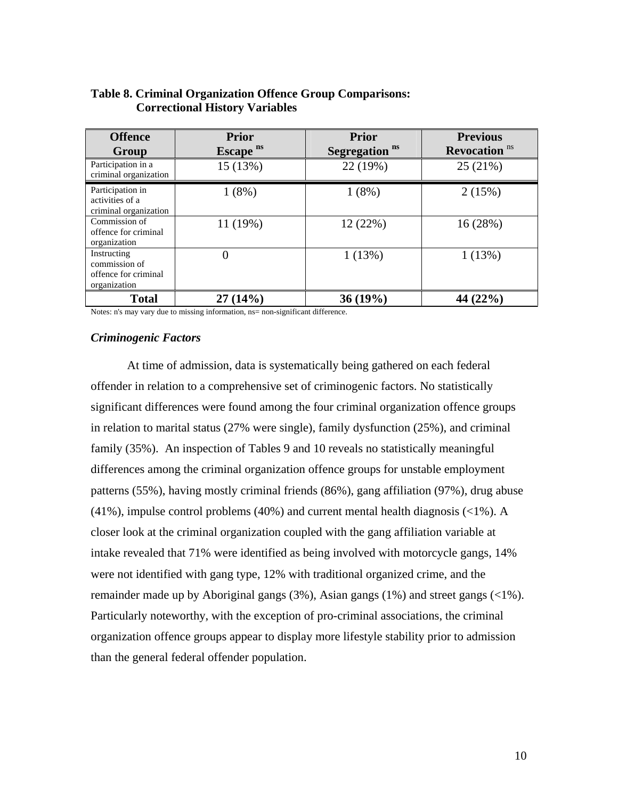| <b>Offence</b><br>Group                                              | <b>Prior</b><br>Escape <sup>ns</sup> | <b>Prior</b><br>Segregation <sup>ns</sup> | <b>Previous</b><br><b>Revocation</b> <sup>ns</sup> |
|----------------------------------------------------------------------|--------------------------------------|-------------------------------------------|----------------------------------------------------|
| Participation in a<br>criminal organization                          | 15 (13%)                             | 22 (19%)                                  | 25 (21%)                                           |
| Participation in<br>activities of a<br>criminal organization         | 1(8%)                                | 1(8%)                                     | 2(15%)                                             |
| Commission of<br>offence for criminal<br>organization                | 11 (19%)                             | 12 (22%)                                  | 16 (28%)                                           |
| Instructing<br>commission of<br>offence for criminal<br>organization | 0                                    | 1(13%)                                    | 1(13%)                                             |
| <b>Total</b>                                                         | 27(14%)                              | 36(19%)                                   | 44 (22%)                                           |

### **Table 8. Criminal Organization Offence Group Comparisons: Correctional History Variables**

Notes: n's may vary due to missing information, ns= non-significant difference.

#### *Criminogenic Factors*

At time of admission, data is systematically being gathered on each federal offender in relation to a comprehensive set of criminogenic factors. No statistically significant differences were found among the four criminal organization offence groups in relation to marital status (27% were single), family dysfunction (25%), and criminal family (35%). An inspection of Tables 9 and 10 reveals no statistically meaningful differences among the criminal organization offence groups for unstable employment patterns (55%), having mostly criminal friends (86%), gang affiliation (97%), drug abuse  $(41\%)$ , impulse control problems  $(40\%)$  and current mental health diagnosis  $(<1\%)$ . A closer look at the criminal organization coupled with the gang affiliation variable at intake revealed that 71% were identified as being involved with motorcycle gangs, 14% were not identified with gang type, 12% with traditional organized crime, and the remainder made up by Aboriginal gangs (3%), Asian gangs (1%) and street gangs (<1%). Particularly noteworthy, with the exception of pro-criminal associations, the criminal organization offence groups appear to display more lifestyle stability prior to admission than the general federal offender population.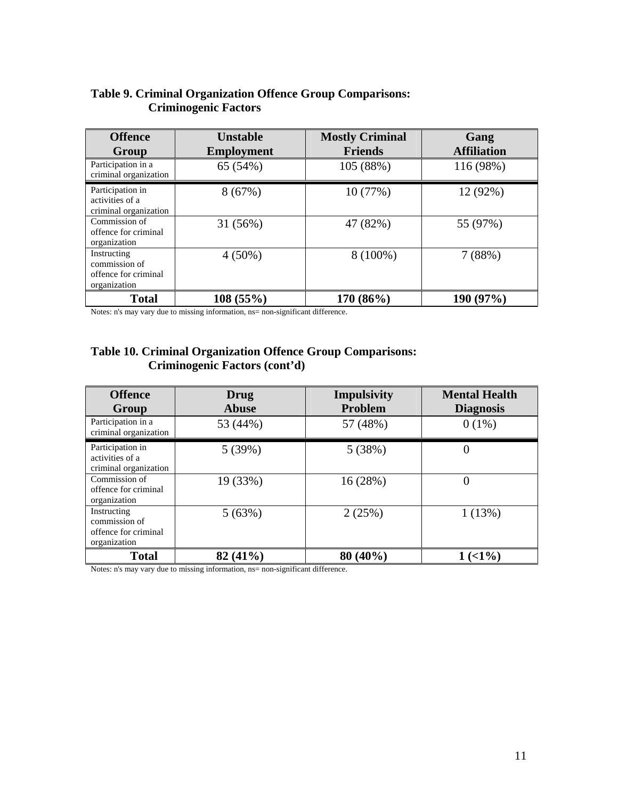# **Table 9. Criminal Organization Offence Group Comparisons: Criminogenic Factors**

| <b>Offence</b><br>Group                                              | <b>Unstable</b><br><b>Employment</b> | <b>Mostly Criminal</b><br><b>Friends</b> | Gang<br><b>Affiliation</b> |
|----------------------------------------------------------------------|--------------------------------------|------------------------------------------|----------------------------|
| Participation in a<br>criminal organization                          | 65 (54%)                             | 105 (88%)                                | 116 (98%)                  |
| Participation in<br>activities of a<br>criminal organization         | 8(67%)                               | 10 (77%)                                 | 12 (92%)                   |
| Commission of<br>offence for criminal<br>organization                | 31 (56%)                             | 47 (82%)                                 | 55 (97%)                   |
| Instructing<br>commission of<br>offence for criminal<br>organization | $4(50\%)$                            | 8 (100%)                                 | 7(88%)                     |
| <b>Total</b>                                                         | 108(55%)                             | 170 (86%)                                | 190 (97%)                  |

Notes: n's may vary due to missing information, ns= non-significant difference.

# **Table 10. Criminal Organization Offence Group Comparisons: Criminogenic Factors (cont'd)**

| <b>Offence</b><br>Group                                              | Drug<br>Abuse | <b>Impulsivity</b><br>Problem | <b>Mental Health</b><br><b>Diagnosis</b> |
|----------------------------------------------------------------------|---------------|-------------------------------|------------------------------------------|
| Participation in a<br>criminal organization                          | 53 (44%)      | 57 (48%)                      | $0(1\%)$                                 |
| Participation in<br>activities of a<br>criminal organization         | 5(39%)        | 5(38%)                        |                                          |
| Commission of<br>offence for criminal<br>organization                | 19 (33%)      | 16 (28%)                      |                                          |
| Instructing<br>commission of<br>offence for criminal<br>organization | 5(63%)        | 2(25%)                        | 1(13%)                                   |
| <b>Total</b>                                                         | 82 (41%)      | $80(40\%)$                    | $1(1\%)$                                 |

Notes: n's may vary due to missing information, ns= non-significant difference.